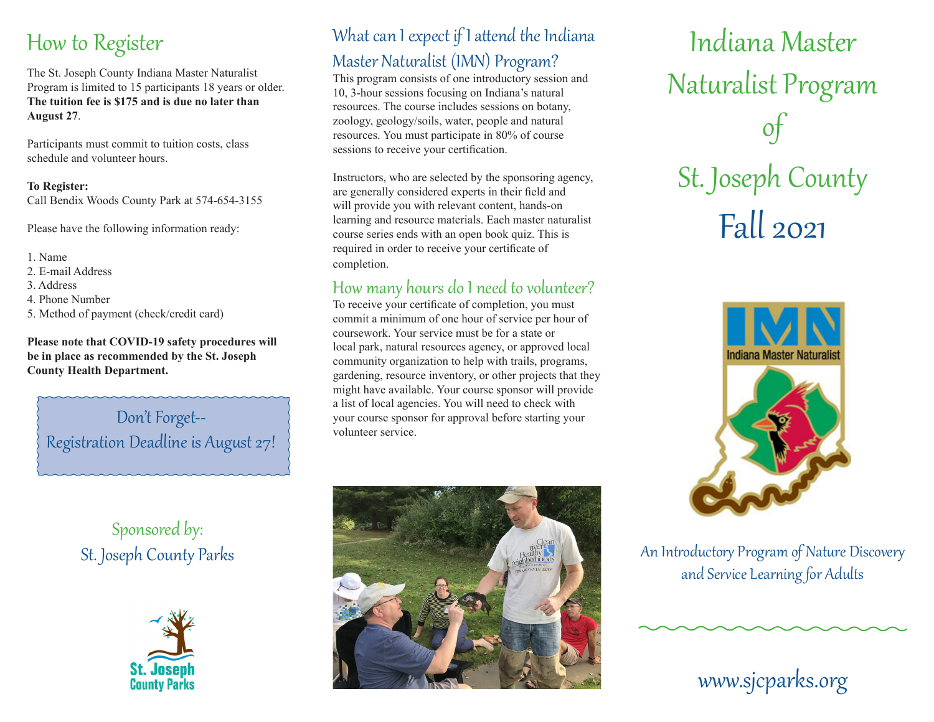The St. Joseph County Indiana Master Naturalist Program is limited to 15 participants 18 years or older. **The tuition fee is \$175 and is due no later than August 27**.

Participants must commit to tuition costs, class schedule and volunteer hours.

#### **To Register:**

Call Bendix Woods County Park at 574-654-3155

Please have the following information ready:

- 1. Name
- 2. E-mail Address
- 3. Address
- 4. Phone Number
- 5. Method of payment (check/credit card)

**Please note that COVID-19 safety procedures will be in place as recommended by the St. Joseph County Health Department.** 

Don't Forget-- Registration Deadline is August 27!

> Sponsored by: St. Joseph County Parks



# How to Register What can I expect if I attend the Indiana

# Master Naturalist (IMN) Program?

This program consists of one introductory session and 10, 3-hour sessions focusing on Indiana's natural resources. The course includes sessions on botany, zoology, geology/soils, water, people and natural resources. You must participate in 80% of course sessions to receive your certification.

Instructors, who are selected by the sponsoring agency, are generally considered experts in their field and will provide you with relevant content, hands-on learning and resource materials. Each master naturalist course series ends with an open book quiz. This is required in order to receive your certificate of completion.

# How many hours do I need to volunteer?

To receive your certificate of completion, you must commit a minimum of one hour of service per hour of coursework. Your service must be for a state or local park, natural resources agency, or approved local community organization to help with trails, programs, gardening, resource inventory, or other projects that they might have available. Your course sponsor will provide a list of local agencies. You will need to check with your course sponsor for approval before starting your volunteer service.



# Indiana Master Naturalist Program of St. Joseph County  $Fall 2021$



An Introductory Program of Nature Discovery and Service Learning for Adults

www.sjcparks.org